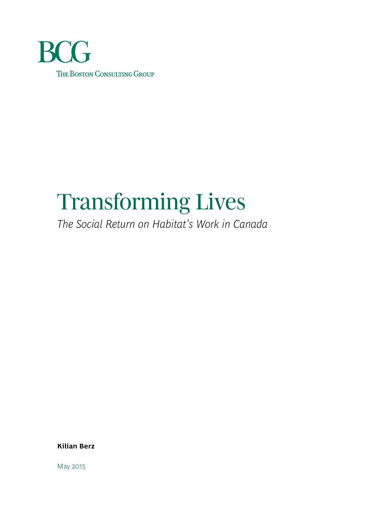

# Transforming Lives

*The Social Return on Habitat's Work in Canada*

**Kilian Berz**

May 2015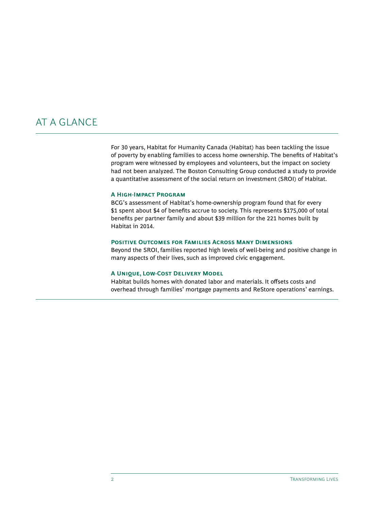# AT A GLANCE

For 30 years, Habitat for Humanity Canada (Habitat) has been tackling the issue of poverty by enabling families to access home ownership. The benefits of Habitat's program were witnessed by employees and volunteers, but the impact on society had not been analyzed. The Boston Consulting Group conducted a study to provide a quantitative assessment of the social return on investment (SROI) of Habitat.

### **A High-Impact Program**

BCG's assessment of Habitat's home-ownership program found that for every \$1 spent about \$4 of benefits accrue to society. This represents \$175,000 of total benefits per partner family and about \$39 million for the 221 homes built by Habitat in 2014.

### **Positive Outcomes for Families Across Many Dimensions**

Beyond the SROI, families reported high levels of well-being and positive change in many aspects of their lives, such as improved civic engagement.

### **A Unique, Low-Cost Delivery Model**

Habitat builds homes with donated labor and materials. It offsets costs and overhead through families' mortgage payments and ReStore operations' earnings.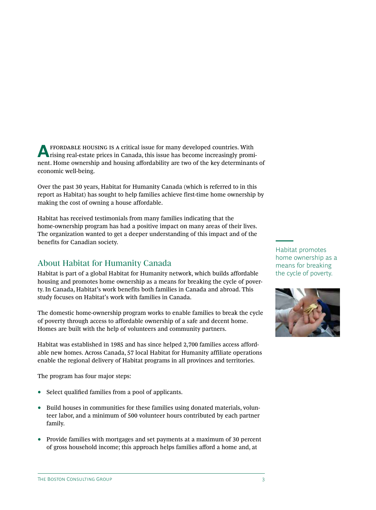**A** FFORDABLE HOUSING IS A critical issue for many developed countries. With rising real-estate prices in Canada, this issue has become increasingly prominent. Home ownership and housing affordability are two of the key determinants of economic well-being.

Over the past 30 years, Habitat for Humanity Canada (which is referred to in this report as Habitat) has sought to help families achieve first-time home ownership by making the cost of owning a house affordable.

Habitat has received testimonials from many families indicating that the home-ownership program has had a positive impact on many areas of their lives. The organization wanted to get a deeper understanding of this impact and of the benefits for Canadian society.

# About Habitat for Humanity Canada

Habitat is part of a global Habitat for Humanity network, which builds affordable housing and promotes home ownership as a means for breaking the cycle of poverty. In Canada, Habitat's work benefits both families in Canada and abroad. This study focuses on Habitat's work with families in Canada.

The domestic home-ownership program works to enable families to break the cycle of poverty through access to affordable ownership of a safe and decent home. Homes are built with the help of volunteers and community partners.

Habitat was established in 1985 and has since helped 2,700 families access affordable new homes. Across Canada, 57 local Habitat for Humanity affiliate operations enable the regional delivery of Habitat programs in all provinces and territories.

The program has four major steps:

- Select qualified families from a pool of applicants.
- Build houses in communities for these families using donated materials, volunteer labor, and a minimum of 500 volunteer hours contributed by each partner family.
- Provide families with mortgages and set payments at a maximum of 30 percent of gross household income; this approach helps families afford a home and, at

Habitat promotes home ownership as a means for breaking the cycle of poverty.

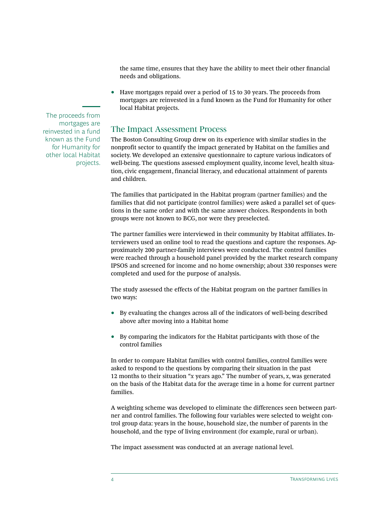the same time, ensures that they have the ability to meet their other financial needs and obligations.

• Have mortgages repaid over a period of 15 to 30 years. The proceeds from mortgages are reinvested in a fund known as the Fund for Humanity for other local Habitat projects.

### The Impact Assessment Process

The Boston Consulting Group drew on its experience with similar studies in the nonprofit sector to quantify the impact generated by Habitat on the families and society. We developed an extensive questionnaire to capture various indicators of well-being. The questions assessed employment quality, income level, health situation, civic engagement, financial literacy, and educational attainment of parents and children.

The families that participated in the Habitat program (partner families) and the families that did not participate (control families) were asked a parallel set of questions in the same order and with the same answer choices. Respondents in both groups were not known to BCG, nor were they preselected.

The partner families were interviewed in their community by Habitat affiliates. Interviewers used an online tool to read the questions and capture the responses. Approximately 200 partner-family interviews were conducted. The control families were reached through a household panel provided by the market research company IPSOS and screened for income and no home ownership; about 330 responses were completed and used for the purpose of analysis.

The study assessed the effects of the Habitat program on the partner families in two ways:

- By evaluating the changes across all of the indicators of well-being described above after moving into a Habitat home
- By comparing the indicators for the Habitat participants with those of the control families

In order to compare Habitat families with control families, control families were asked to respond to the questions by comparing their situation in the past 12 months to their situation "*x* years ago." The number of years, *x*, was generated on the basis of the Habitat data for the average time in a home for current partner families.

A weighting scheme was developed to eliminate the differences seen between partner and control families. The following four variables were selected to weight control group data: years in the house, household size, the number of parents in the household, and the type of living environment (for example, rural or urban).

The impact assessment was conducted at an average national level.

The proceeds from mortgages are reinvested in a fund known as the Fund for Humanity for other local Habitat projects.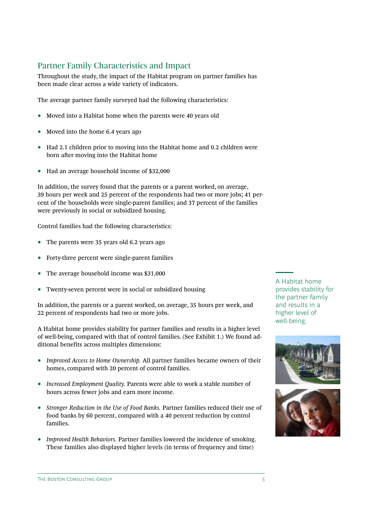# Partner Family Characteristics and Impact

Throughout the study, the impact of the Habitat program on partner families has been made clear across a wide variety of indicators.

The average partner family surveyed had the following characteristics:

- Moved into a Habitat home when the parents were 40 years old
- Moved into the home 6.4 years ago
- Had 2.1 children prior to moving into the Habitat home and 0.2 children were born after moving into the Habitat home
- Had an average household income of \$32,000

In addition, the survey found that the parents or a parent worked, on average, 39 hours per week and 25 percent of the respondents had two or more jobs; 41 percent of the households were single-parent families; and 37 percent of the families were previously in social or subsidized housing.

Control families had the following characteristics:

- The parents were 35 years old 6.2 years ago
- Forty-three percent were single-parent families
- The average household income was \$31,000
- Twenty-seven percent were in social or subsidized housing

In addition, the parents or a parent worked, on average, 35 hours per week, and 22 percent of respondents had two or more jobs.

A Habitat home provides stability for partner families and results in a higher level of well-being, compared with that of control families. (See Exhibit 1.) We found additional benefits across multiples dimensions:

- *Improved Access to Home Ownership.* All partner families became owners of their homes, compared with 20 percent of control families.
- *Increased Employment Quality.* Parents were able to work a stable number of hours across fewer jobs and earn more income.
- *Stronger Reduction in the Use of Food Banks.* Partner families reduced their use of food banks by 60 percent, compared with a 40 percent reduction by control families.
- *Improved Health Behaviors.* Partner families lowered the incidence of smoking. These families also displayed higher levels (in terms of frequency and time)

A Habitat home provides stability for the partner family and results in a higher level of well-being.



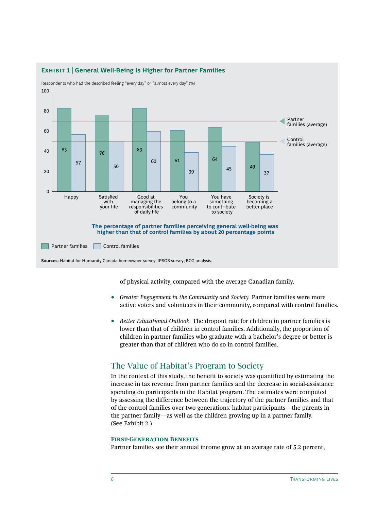

**Exhibit 1 | General Well-Being Is Higher for Partner Families**

of physical activity, compared with the average Canadian family.

- *Greater Engagement in the Community and Society.* Partner families were more active voters and volunteers in their community, compared with control families.
- *Better Educational Outlook.* The dropout rate for children in partner families is lower than that of children in control families. Additionally, the proportion of children in partner families who graduate with a bachelor's degree or better is greater than that of children who do so in control families.

### The Value of Habitat's Program to Society

In the context of this study, the benefit to society was quantified by estimating the increase in tax revenue from partner families and the decrease in social-assistance spending on participants in the Habitat program. The estimates were computed by assessing the difference between the trajectory of the partner families and that of the control families over two generations: habitat participants—the parents in the partner family—as well as the children growing up in a partner family. (See Exhibit 2.)

### **First-Generation Benefits**

Partner families see their annual income grow at an average rate of 5.2 percent,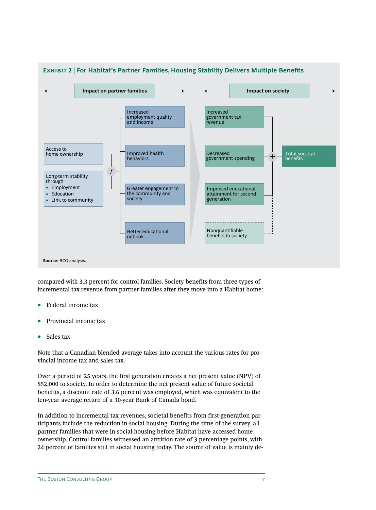

compared with 3.3 percent for control families. Society benefits from three types of incremental tax revenue from partner families after they move into a Habitat home:

- Federal income tax
- Provincial income tax
- Sales tax

Note that a Canadian blended average takes into account the various rates for provincial income tax and sales tax.

Over a period of 25 years, the first generation creates a net present value (NPV) of \$52,000 to society. In order to determine the net present value of future societal benefits, a discount rate of 3.6 percent was employed, which was equivalent to the ten-year average return of a 30-year Bank of Canada bond.

In addition to incremental tax revenues, societal benefits from first-generation participants include the reduction in social housing. During the time of the survey, all partner families that were in social housing before Habitat have accessed home ownership. Control families witnessed an attrition rate of 3 percentage points, with 24 percent of families still in social housing today. The source of value is mainly de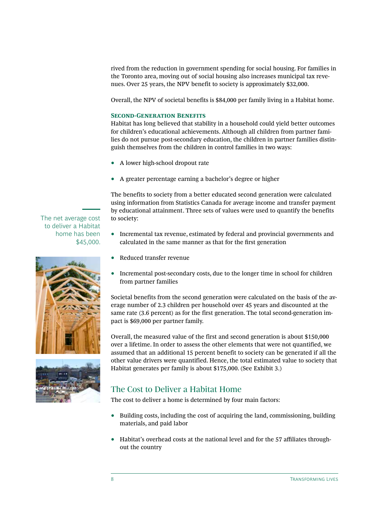rived from the reduction in government spending for social housing. For families in the Toronto area, moving out of social housing also increases municipal tax revenues. Over 25 years, the NPV benefit to society is approximately \$32,000.

Overall, the NPV of societal benefits is \$84,000 per family living in a Habitat home.

### **Second-Generation Benefits**

Habitat has long believed that stability in a household could yield better outcomes for children's educational achievements. Although all children from partner families do not pursue post-secondary education, the children in partner families distinguish themselves from the children in control families in two ways:

- A lower high-school dropout rate
- A greater percentage earning a bachelor's degree or higher

The benefits to society from a better educated second generation were calculated using information from Statistics Canada for average income and transfer payment by educational attainment. Three sets of values were used to quantify the benefits to society:

- Incremental tax revenue, estimated by federal and provincial governments and calculated in the same manner as that for the first generation
- Reduced transfer revenue
- Incremental post-secondary costs, due to the longer time in school for children from partner families

Societal benefits from the second generation were calculated on the basis of the average number of 2.3 children per household over 45 years and discounted at the same rate (3.6 percent) as for the first generation. The total second-generation impact is \$69,000 per partner family.

Overall, the measured value of the first and second generation is about \$150,000 over a lifetime. In order to assess the other elements that were not quantified, we assumed that an additional 15 percent benefit to society can be generated if all the other value drivers were quantified. Hence, the total estimated value to society that Habitat generates per family is about \$175,000. (See Exhibit 3.)

# The Cost to Deliver a Habitat Home

The cost to deliver a home is determined by four main factors:

- Building costs, including the cost of acquiring the land, commissioning, building materials, and paid labor
- Habitat's overhead costs at the national level and for the 57 affiliates throughout the country

The net average cost to deliver a Habitat home has been \$45,000.



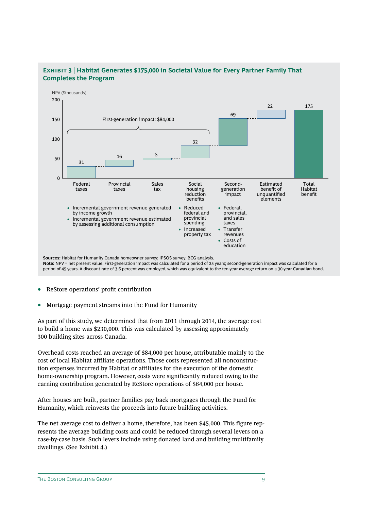

# **Exhibit 3 | Habitat Generates \$175,000 in Societal Value for Every Partner Family That**

- ReStore operations' profit contribution
- Mortgage payment streams into the Fund for Humanity

As part of this study, we determined that from 2011 through 2014, the average cost to build a home was \$230,000. This was calculated by assessing approximately 300 building sites across Canada.

Overhead costs reached an average of \$84,000 per house, attributable mainly to the cost of local Habitat affiliate operations. Those costs represented all nonconstruction expenses incurred by Habitat or affiliates for the execution of the domestic home-ownership program. However, costs were significantly reduced owing to the earning contribution generated by ReStore operations of \$64,000 per house.

After houses are built, partner families pay back mortgages through the Fund for Humanity, which reinvests the proceeds into future building activities.

The net average cost to deliver a home, therefore, has been \$45,000. This figure represents the average building costs and could be reduced through several levers on a case-by-case basis. Such levers include using donated land and building multifamily dwellings. (See Exhibit 4.)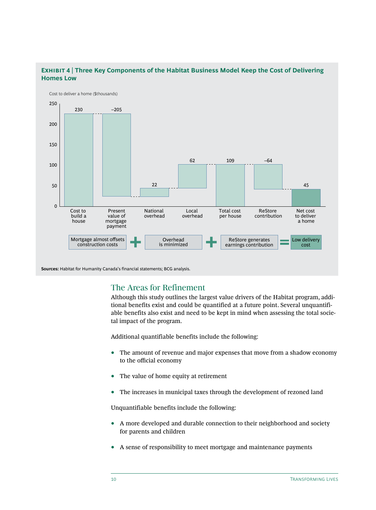

### **Exhibit 4 | Three Key Components of the Habitat Business Model Keep the Cost of Delivering Homes Low**

**Sources:** Habitat for Humanity Canada's financial statements; BCG analysis.

### The Areas for Refinement

Although this study outlines the largest value drivers of the Habitat program, additional benefits exist and could be quantified at a future point. Several unquantifiable benefits also exist and need to be kept in mind when assessing the total societal impact of the program.

Additional quantifiable benefits include the following:

- The amount of revenue and major expenses that move from a shadow economy to the official economy
- The value of home equity at retirement
- The increases in municipal taxes through the development of rezoned land

Unquantifiable benefits include the following:

- A more developed and durable connection to their neighborhood and society for parents and children
- A sense of responsibility to meet mortgage and maintenance payments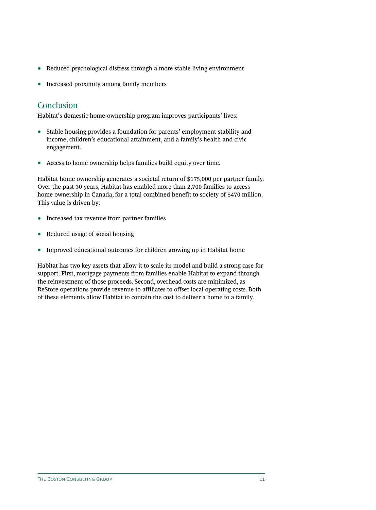- Reduced psychological distress through a more stable living environment
- Increased proximity among family members

## **Conclusion**

Habitat's domestic home-ownership program improves participants' lives:

- Stable housing provides a foundation for parents' employment stability and income, children's educational attainment, and a family's health and civic engagement.
- Access to home ownership helps families build equity over time.

Habitat home ownership generates a societal return of \$175,000 per partner family. Over the past 30 years, Habitat has enabled more than 2,700 families to access home ownership in Canada, for a total combined benefit to society of \$470 million. This value is driven by:

- Increased tax revenue from partner families
- Reduced usage of social housing
- Improved educational outcomes for children growing up in Habitat home

Habitat has two key assets that allow it to scale its model and build a strong case for support. First, mortgage payments from families enable Habitat to expand through the reinvestment of those proceeds. Second, overhead costs are minimized, as ReStore operations provide revenue to affiliates to offset local operating costs. Both of these elements allow Habitat to contain the cost to deliver a home to a family.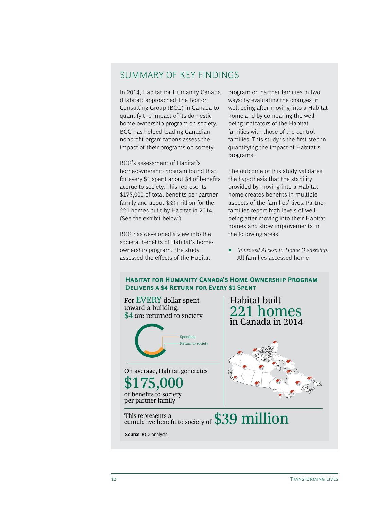# Summary of Key Findings

In 2014, Habitat for Humanity Canada (Habitat) approached The Boston Consulting Group (BCG) in Canada to quantify the impact of its domestic home-ownership program on society. BCG has helped leading Canadian nonprofit organizations assess the impact of their programs on society.

BCG's assessment of Habitat's home-ownership program found that for every \$1 spent about \$4 of benefits accrue to society. This represents \$175,000 of total benefits per partner family and about \$39 million for the 221 homes built by Habitat in 2014. (See the exhibit below.)

BCG has developed a view into the societal benefits of Habitat's homeownership program. The study assessed the effects of the Habitat

program on partner families in two ways: by evaluating the changes in well-being after moving into a Habitat home and by comparing the wellbeing indicators of the Habitat families with those of the control families. This study is the first step in quantifying the impact of Habitat's programs.

The outcome of this study validates the hypothesis that the stability provided by moving into a Habitat home creates benefits in multiple aspects of the families' lives. Partner families report high levels of wellbeing after moving into their Habitat homes and show improvements in the following areas:

• *Improved Access to Home Ownership.* All families accessed home

# This represents a cumulative benefit to society of \$39 million Habitat built 221 homes in Canada in 2014 On average, Habitat generates \$175,000 of benefits to society per partner family Spending Return to society For EVERY dollar spent toward a building, \$4 are returned to society **Source:** BCG analysis. **Habitat for Humanity Canada's Home-Ownership Program Delivers a \$4 Return for Every \$1 Spent**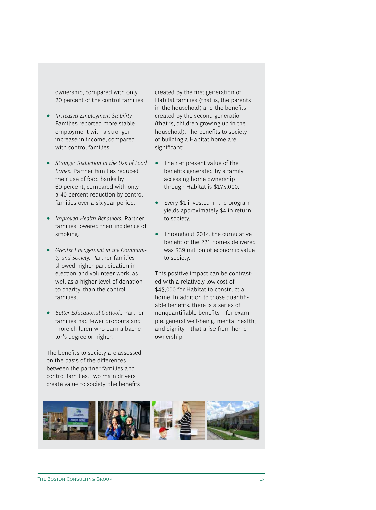ownership, compared with only 20 percent of the control families.

- *Increased Employment Stability.* Families reported more stable employment with a stronger increase in income, compared with control families.
- *Stronger Reduction in the Use of Food Banks.* Partner families reduced their use of food banks by 60 percent, compared with only a 40 percent reduction by control families over a six-year period.
- *Improved Health Behaviors.* Partner families lowered their incidence of smoking.
- *Greater Engagement in the Community and Society.* Partner families showed higher participation in election and volunteer work, as well as a higher level of donation to charity, than the control families.
- *Better Educational Outlook.* Partner families had fewer dropouts and more children who earn a bachelor's degree or higher.

The benefits to society are assessed on the basis of the differences between the partner families and control families. Two main drivers create value to society: the benefits

created by the first generation of Habitat families (that is, the parents in the household) and the benefits created by the second generation (that is, children growing up in the household). The benefits to society of building a Habitat home are significant:

- The net present value of the benefits generated by a family accessing home ownership through Habitat is \$175,000.
- Every \$1 invested in the program yields approximately \$4 in return to society.
- Throughout 2014, the cumulative benefit of the 221 homes delivered was \$39 million of economic value to society.

This positive impact can be contrasted with a relatively low cost of \$45,000 for Habitat to construct a home. In addition to those quantifiable benefits, there is a series of nonquantifiable benefits—for example, general well-being, mental health, and dignity—that arise from home ownership.